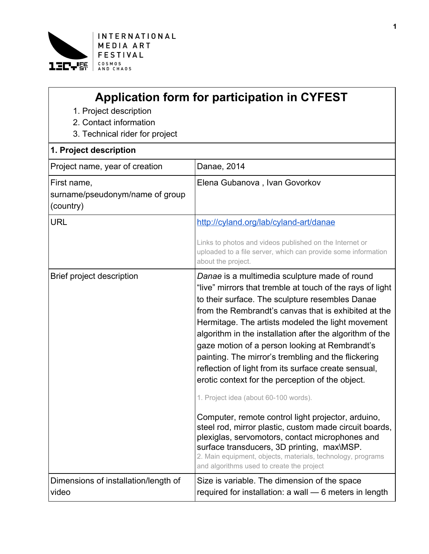

| <b>Application form for participation in CYFEST</b> |  |  |
|-----------------------------------------------------|--|--|
|-----------------------------------------------------|--|--|

- 1. Project description
- 2. Contact information
- 3. Technical rider for project

## **1. Project description**

| ı. FIUJELL UESLIIDIIDII                                     |                                                                                                                                                                                                                                                                                                                                                                                                                                                                                                                                                                                                                                                                                                                                                                                                                                                                                                                                   |
|-------------------------------------------------------------|-----------------------------------------------------------------------------------------------------------------------------------------------------------------------------------------------------------------------------------------------------------------------------------------------------------------------------------------------------------------------------------------------------------------------------------------------------------------------------------------------------------------------------------------------------------------------------------------------------------------------------------------------------------------------------------------------------------------------------------------------------------------------------------------------------------------------------------------------------------------------------------------------------------------------------------|
| Project name, year of creation                              | Danae, 2014                                                                                                                                                                                                                                                                                                                                                                                                                                                                                                                                                                                                                                                                                                                                                                                                                                                                                                                       |
| First name,<br>surname/pseudonym/name of group<br>(country) | Elena Gubanova, Ivan Govorkov                                                                                                                                                                                                                                                                                                                                                                                                                                                                                                                                                                                                                                                                                                                                                                                                                                                                                                     |
| <b>URL</b>                                                  | http://cyland.org/lab/cyland-art/danae                                                                                                                                                                                                                                                                                                                                                                                                                                                                                                                                                                                                                                                                                                                                                                                                                                                                                            |
|                                                             | Links to photos and videos published on the Internet or<br>uploaded to a file server, which can provide some information<br>about the project.                                                                                                                                                                                                                                                                                                                                                                                                                                                                                                                                                                                                                                                                                                                                                                                    |
| Brief project description                                   | Danae is a multimedia sculpture made of round<br>"live" mirrors that tremble at touch of the rays of light<br>to their surface. The sculpture resembles Danae<br>from the Rembrandt's canvas that is exhibited at the<br>Hermitage. The artists modeled the light movement<br>algorithm in the installation after the algorithm of the<br>gaze motion of a person looking at Rembrandt's<br>painting. The mirror's trembling and the flickering<br>reflection of light from its surface create sensual,<br>erotic context for the perception of the object.<br>1. Project idea (about 60-100 words).<br>Computer, remote control light projector, arduino,<br>steel rod, mirror plastic, custom made circuit boards,<br>plexiglas, servomotors, contact microphones and<br>surface transducers, 3D printing, max\MSP.<br>2. Main equipment, objects, materials, technology, programs<br>and algorithms used to create the project |
| Dimensions of installation/length of<br>video               | Size is variable. The dimension of the space<br>required for installation: a wall - 6 meters in length                                                                                                                                                                                                                                                                                                                                                                                                                                                                                                                                                                                                                                                                                                                                                                                                                            |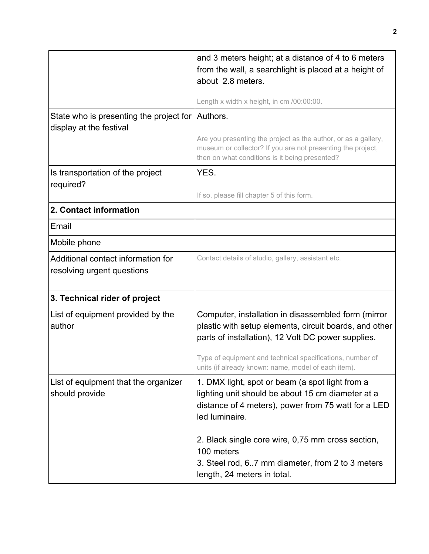| Length x width x height, in cm /00:00:00.<br>Authors.<br>Are you presenting the project as the author, or as a gallery,<br>museum or collector? If you are not presenting the project,<br>then on what conditions is it being presented?<br>YES.<br>If so, please fill chapter 5 of this form. |  |
|------------------------------------------------------------------------------------------------------------------------------------------------------------------------------------------------------------------------------------------------------------------------------------------------|--|
|                                                                                                                                                                                                                                                                                                |  |
|                                                                                                                                                                                                                                                                                                |  |
|                                                                                                                                                                                                                                                                                                |  |
|                                                                                                                                                                                                                                                                                                |  |
|                                                                                                                                                                                                                                                                                                |  |
| 2. Contact information                                                                                                                                                                                                                                                                         |  |
|                                                                                                                                                                                                                                                                                                |  |
|                                                                                                                                                                                                                                                                                                |  |
| Contact details of studio, gallery, assistant etc.                                                                                                                                                                                                                                             |  |
| 3. Technical rider of project                                                                                                                                                                                                                                                                  |  |
| Computer, installation in disassembled form (mirror<br>plastic with setup elements, circuit boards, and other<br>parts of installation), 12 Volt DC power supplies.<br>Type of equipment and technical specifications, number of<br>units (if already known: name, model of each item).        |  |
| 1. DMX light, spot or beam (a spot light from a<br>lighting unit should be about 15 cm diameter at a<br>distance of 4 meters), power from 75 watt for a LED<br>led luminaire.<br>2. Black single core wire, 0,75 mm cross section,<br>100 meters                                               |  |
|                                                                                                                                                                                                                                                                                                |  |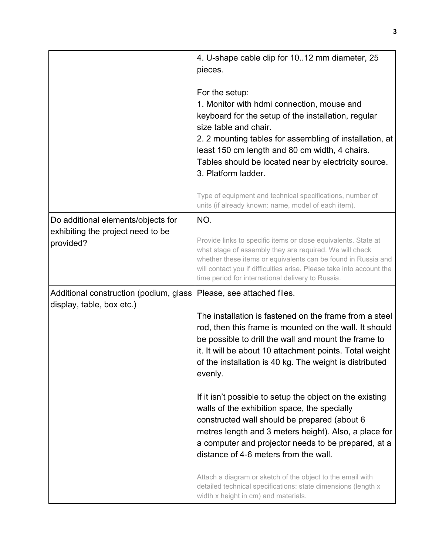|                                                                                      | 4. U-shape cable clip for 1012 mm diameter, 25<br>pieces.                                                                                                                                                                                                                                                                                                                                                                                                                                                                                                                                                                                                                                                                    |
|--------------------------------------------------------------------------------------|------------------------------------------------------------------------------------------------------------------------------------------------------------------------------------------------------------------------------------------------------------------------------------------------------------------------------------------------------------------------------------------------------------------------------------------------------------------------------------------------------------------------------------------------------------------------------------------------------------------------------------------------------------------------------------------------------------------------------|
|                                                                                      | For the setup:<br>1. Monitor with hdmi connection, mouse and<br>keyboard for the setup of the installation, regular<br>size table and chair.<br>2. 2 mounting tables for assembling of installation, at<br>least 150 cm length and 80 cm width, 4 chairs.<br>Tables should be located near by electricity source.<br>3. Platform ladder.                                                                                                                                                                                                                                                                                                                                                                                     |
|                                                                                      | Type of equipment and technical specifications, number of<br>units (if already known: name, model of each item).                                                                                                                                                                                                                                                                                                                                                                                                                                                                                                                                                                                                             |
| Do additional elements/objects for<br>exhibiting the project need to be<br>provided? | NO.<br>Provide links to specific items or close equivalents. State at<br>what stage of assembly they are required. We will check<br>whether these items or equivalents can be found in Russia and<br>will contact you if difficulties arise. Please take into account the<br>time period for international delivery to Russia.                                                                                                                                                                                                                                                                                                                                                                                               |
| Additional construction (podium, glass<br>display, table, box etc.)                  | Please, see attached files.<br>The installation is fastened on the frame from a steel<br>rod, then this frame is mounted on the wall. It should<br>be possible to drill the wall and mount the frame to<br>it. It will be about 10 attachment points. Total weight<br>of the installation is 40 kg. The weight is distributed<br>evenly.<br>If it isn't possible to setup the object on the existing<br>walls of the exhibition space, the specially<br>constructed wall should be prepared (about 6)<br>metres length and 3 meters height). Also, a place for<br>a computer and projector needs to be prepared, at a<br>distance of 4-6 meters from the wall.<br>Attach a diagram or sketch of the object to the email with |
|                                                                                      | detailed technical specifications: state dimensions (length x<br>width x height in cm) and materials.                                                                                                                                                                                                                                                                                                                                                                                                                                                                                                                                                                                                                        |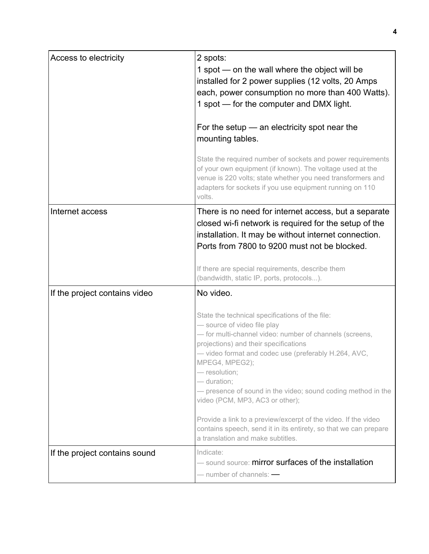| Access to electricity         | 2 spots:<br>1 spot - on the wall where the object will be<br>installed for 2 power supplies (12 volts, 20 Amps)<br>each, power consumption no more than 400 Watts).<br>1 spot - for the computer and DMX light.<br>For the setup $-$ an electricity spot near the<br>mounting tables.<br>State the required number of sockets and power requirements<br>of your own equipment (if known). The voltage used at the<br>venue is 220 volts; state whether you need transformers and<br>adapters for sockets if you use equipment running on 110<br>volts.                                  |
|-------------------------------|-----------------------------------------------------------------------------------------------------------------------------------------------------------------------------------------------------------------------------------------------------------------------------------------------------------------------------------------------------------------------------------------------------------------------------------------------------------------------------------------------------------------------------------------------------------------------------------------|
| Internet access               | There is no need for internet access, but a separate<br>closed wi-fi network is required for the setup of the<br>installation. It may be without internet connection.<br>Ports from 7800 to 9200 must not be blocked.<br>If there are special requirements, describe them<br>(bandwidth, static IP, ports, protocols).                                                                                                                                                                                                                                                                  |
| If the project contains video | No video.<br>State the technical specifications of the file:<br>- source of video file play<br>- for multi-channel video: number of channels (screens,<br>projections) and their specifications<br>- video format and codec use (preferably H.264, AVC,<br>MPEG4, MPEG2);<br>- resolution;<br>- duration;<br>- presence of sound in the video; sound coding method in the<br>video (PCM, MP3, AC3 or other);<br>Provide a link to a preview/excerpt of the video. If the video<br>contains speech, send it in its entirety, so that we can prepare<br>a translation and make subtitles. |
| If the project contains sound | Indicate:<br>- sound source: mirror surfaces of the installation<br>$-$ number of channels: $-$                                                                                                                                                                                                                                                                                                                                                                                                                                                                                         |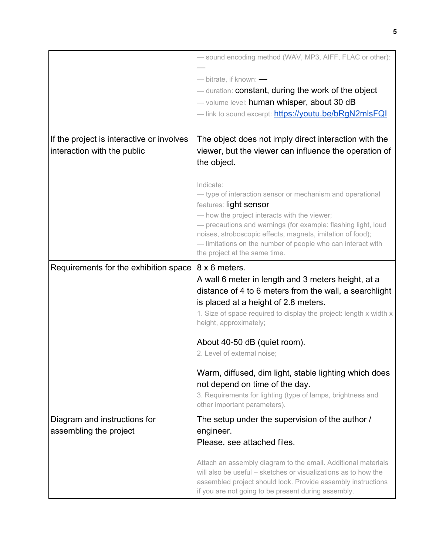|                                                                          | - sound encoding method (WAV, MP3, AIFF, FLAC or other):<br>- bitrate, if known: -<br>— duration: constant, during the work of the object<br>- volume level: human whisper, about 30 dB                                                                                                                                                                                         |
|--------------------------------------------------------------------------|---------------------------------------------------------------------------------------------------------------------------------------------------------------------------------------------------------------------------------------------------------------------------------------------------------------------------------------------------------------------------------|
|                                                                          | — link to sound excerpt: https://youtu.be/bRgN2mlsFQI                                                                                                                                                                                                                                                                                                                           |
| If the project is interactive or involves<br>interaction with the public | The object does not imply direct interaction with the<br>viewer, but the viewer can influence the operation of<br>the object.                                                                                                                                                                                                                                                   |
|                                                                          | Indicate:<br>- type of interaction sensor or mechanism and operational<br>features: light sensor<br>- how the project interacts with the viewer;<br>- precautions and warnings (for example: flashing light, loud<br>noises, stroboscopic effects, magnets, imitation of food);<br>- limitations on the number of people who can interact with<br>the project at the same time. |
| Requirements for the exhibition space                                    | 8 x 6 meters.<br>A wall 6 meter in length and 3 meters height, at a<br>distance of 4 to 6 meters from the wall, a searchlight<br>is placed at a height of 2.8 meters.<br>1. Size of space required to display the project: length x width x<br>height, approximately;                                                                                                           |
|                                                                          | About 40-50 dB (quiet room).<br>2. Level of external noise;                                                                                                                                                                                                                                                                                                                     |
|                                                                          | Warm, diffused, dim light, stable lighting which does<br>not depend on time of the day.<br>3. Requirements for lighting (type of lamps, brightness and<br>other important parameters).                                                                                                                                                                                          |
| Diagram and instructions for<br>assembling the project                   | The setup under the supervision of the author /<br>engineer.<br>Please, see attached files.                                                                                                                                                                                                                                                                                     |
|                                                                          | Attach an assembly diagram to the email. Additional materials<br>will also be useful – sketches or visualizations as to how the<br>assembled project should look. Provide assembly instructions<br>if you are not going to be present during assembly.                                                                                                                          |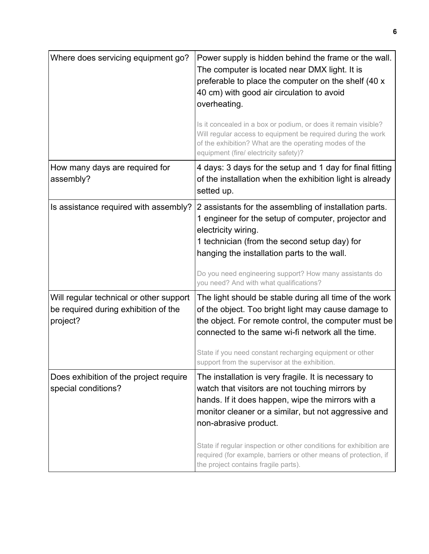| Where does servicing equipment go?                                                          | Power supply is hidden behind the frame or the wall.<br>The computer is located near DMX light. It is<br>preferable to place the computer on the shelf (40 x<br>40 cm) with good air circulation to avoid<br>overheating.<br>Is it concealed in a box or podium, or does it remain visible?<br>Will regular access to equipment be required during the work<br>of the exhibition? What are the operating modes of the<br>equipment (fire/ electricity safety)? |
|---------------------------------------------------------------------------------------------|----------------------------------------------------------------------------------------------------------------------------------------------------------------------------------------------------------------------------------------------------------------------------------------------------------------------------------------------------------------------------------------------------------------------------------------------------------------|
| How many days are required for<br>assembly?                                                 | 4 days: 3 days for the setup and 1 day for final fitting<br>of the installation when the exhibition light is already<br>setted up.                                                                                                                                                                                                                                                                                                                             |
| Is assistance required with assembly?                                                       | 2 assistants for the assembling of installation parts.<br>1 engineer for the setup of computer, projector and<br>electricity wiring.<br>1 technician (from the second setup day) for<br>hanging the installation parts to the wall.<br>Do you need engineering support? How many assistants do<br>you need? And with what qualifications?                                                                                                                      |
| Will regular technical or other support<br>be required during exhibition of the<br>project? | The light should be stable during all time of the work<br>of the object. Too bright light may cause damage to<br>the object. For remote control, the computer must be<br>connected to the same wi-fi network all the time.<br>State if you need constant recharging equipment or other<br>support from the supervisor at the exhibition.                                                                                                                       |
| Does exhibition of the project require<br>special conditions?                               | The installation is very fragile. It is necessary to<br>watch that visitors are not touching mirrors by<br>hands. If it does happen, wipe the mirrors with a<br>monitor cleaner or a similar, but not aggressive and<br>non-abrasive product.<br>State if regular inspection or other conditions for exhibition are<br>required (for example, barriers or other means of protection, if<br>the project contains fragile parts).                                |